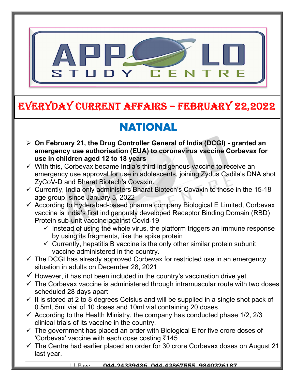

## EVERYDAY CURRENT AFFAIRS – FEBRUARY 22,2022

# NATIONAL

-

- On February 21, the Drug Controller General of India (DCGI) granted an emergency use authorisation (EUA) to coronavirus vaccine Corbevax for use in children aged 12 to 18 years
- $\checkmark$  With this, Corbevax became India's third indigenous vaccine to receive an emergency use approval for use in adolescents, joining Zydus Cadila's DNA shot ZyCoV-D and Bharat Biotech's Covaxin.
- $\checkmark$  Currently, India only administers Bharat Biotech's Covaxin to those in the 15-18 age group, since January 3, 2022
- $\checkmark$  According to Hyderabad-based pharma company Biological E Limited, Corbevax vaccine is India's first indigenously developed Receptor Binding Domain (RBD) Protein sub-unit vaccine against Covid-19
	- $\checkmark$  Instead of using the whole virus, the platform triggers an immune response by using its fragments, like the spike protein
	- $\checkmark$  Currently, hepatitis B vaccine is the only other similar protein subunit vaccine administered in the country.
- $\checkmark$  The DCGI has already approved Corbevax for restricted use in an emergency situation in adults on December 28, 2021
- $\checkmark$  However, it has not been included in the country's vaccination drive yet.
- $\checkmark$  The Corbevax vaccine is administered through intramuscular route with two doses scheduled 28 days apart
- $\checkmark$  It is stored at 2 to 8 degrees Celsius and will be supplied in a single shot pack of 0.5ml, 5ml vial of 10 doses and 10ml vial containing 20 doses.
- $\checkmark$  According to the Health Ministry, the company has conducted phase 1/2, 2/3 clinical trials of its vaccine in the country.
- $\checkmark$  The government has placed an order with Biological E for five crore doses of 'Corbevax' vaccine with each dose costing ₹145
- $\checkmark$  The Centre had earlier placed an order for 30 crore Corbevax doses on August 21 last year.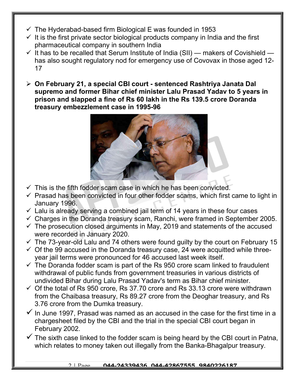- $\checkmark$  The Hyderabad-based firm Biological E was founded in 1953
- $\checkmark$  It is the first private sector biological products company in India and the first pharmaceutical company in southern India
- $\checkmark$  It has to be recalled that Serum Institute of India (SII) makers of Covishield has also sought regulatory nod for emergency use of Covovax in those aged 12- 17
- On February 21, a special CBI court sentenced Rashtriya Janata Dal supremo and former Bihar chief minister Lalu Prasad Yadav to 5 years in prison and slapped a fine of Rs 60 lakh in the Rs 139.5 crore Doranda treasury embezzlement case in 1995-96



- $\checkmark$  This is the fifth fodder scam case in which he has been convicted.
- $\checkmark$  Prasad has been convicted in four other fodder scams, which first came to light in January 1996.
- $\checkmark$  Lalu is already serving a combined jail term of 14 years in these four cases
- $\checkmark$  Charges in the Doranda treasury scam, Ranchi, were framed in September 2005.
- $\checkmark$  The prosecution closed arguments in May, 2019 and statements of the accused were recorded in January 2020.
- $\checkmark$  The 73-year-old Lalu and 74 others were found guilty by the court on February 15
- $\checkmark$  Of the 99 accused in the Doranda treasury case, 24 were acquitted while threeyear jail terms were pronounced for 46 accused last week itself.
- $\checkmark$  The Doranda fodder scam is part of the Rs 950 crore scam linked to fraudulent withdrawal of public funds from government treasuries in various districts of undivided Bihar during Lalu Prasad Yadav's term as Bihar chief minister.
- $\checkmark$  Of the total of Rs 950 crore, Rs 37.70 crore and Rs 33.13 crore were withdrawn from the Chaibasa treasury, Rs 89.27 crore from the Deoghar treasury, and Rs 3.76 crore from the Dumka treasury.
- $\checkmark$  In June 1997, Prasad was named as an accused in the case for the first time in a chargesheet filed by the CBI and the trial in the special CBI court began in February 2002.
- $\checkmark$  The sixth case linked to the fodder scam is being heard by the CBI court in Patna, which relates to money taken out illegally from the Banka-Bhagalpur treasury.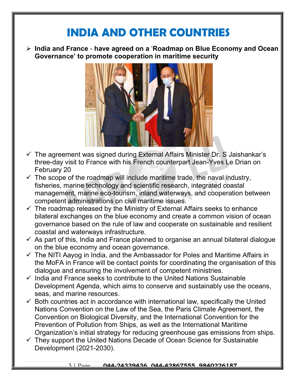### INDIA AND OTHER COUNTRIES

 $\triangleright$  India and France - have agreed on a 'Roadmap on Blue Economy and Ocean Governance' to promote cooperation in maritime security



- $\checkmark$  The agreement was signed during External Affairs Minister Dr. S Jaishankar's three-day visit to France with his French counterpart Jean-Yves Le Drian on February 20
- $\checkmark$  The scope of the roadmap will include maritime trade, the naval industry, fisheries, marine technology and scientific research, integrated coastal management, marine eco-tourism, inland waterways, and cooperation between competent administrations on civil maritime issues.
- $\checkmark$  The roadmap released by the Ministry of External Affairs seeks to enhance bilateral exchanges on the blue economy and create a common vision of ocean governance based on the rule of law and cooperate on sustainable and resilient coastal and waterways infrastructure.
- $\checkmark$  As part of this, India and France planned to organise an annual bilateral dialogue on the blue economy and ocean governance.
- $\checkmark$  The NITI Aayog in India, and the Ambassador for Poles and Maritime Affairs in the MoFA in France will be contact points for coordinating the organisation of this dialogue and ensuring the involvement of competent ministries.
- $\checkmark$  India and France seeks to contribute to the United Nations Sustainable Development Agenda, which aims to conserve and sustainably use the oceans, seas, and marine resources.
- $\checkmark$  Both countries act in accordance with international law, specifically the United Nations Convention on the Law of the Sea, the Paris Climate Agreement, the Convention on Biological Diversity, and the International Convention for the Prevention of Pollution from Ships, as well as the International Maritime Organization's initial strategy for reducing greenhouse gas emissions from ships.
- $\checkmark$  They support the United Nations Decade of Ocean Science for Sustainable Development (2021-2030).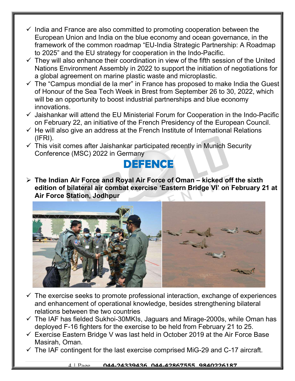- $\checkmark$  India and France are also committed to promoting cooperation between the European Union and India on the blue economy and ocean governance, in the framework of the common roadmap "EU-India Strategic Partnership: A Roadmap to 2025" and the EU strategy for cooperation in the Indo-Pacific.
- $\checkmark$  They will also enhance their coordination in view of the fifth session of the United Nations Environment Assembly in 2022 to support the initiation of negotiations for a global agreement on marine plastic waste and microplastic.
- $\checkmark$  The "Campus mondial de la mer" in France has proposed to make India the Guest of Honour of the Sea Tech Week in Brest from September 26 to 30, 2022, which will be an opportunity to boost industrial partnerships and blue economy innovations.
- $\checkmark$  Jaishankar will attend the EU Ministerial Forum for Cooperation in the Indo-Pacific on February 22, an initiative of the French Presidency of the European Council.
- $\checkmark$  He will also give an address at the French Institute of International Relations (IFRI).
- $\checkmark$  This visit comes after Jaishankar participated recently in Munich Security Conference (MSC) 2022 in Germany

#### **DEFENCE**

 $\triangleright$  The Indian Air Force and Royal Air Force of Oman – kicked off the sixth edition of bilateral air combat exercise 'Eastern Bridge VI' on February 21 at Air Force Station, Jodhpur



- $\checkmark$  The exercise seeks to promote professional interaction, exchange of experiences and enhancement of operational knowledge, besides strengthening bilateral relations between the two countries
- $\checkmark$  The IAF has fielded Sukhoi-30MKIs, Jaguars and Mirage-2000s, while Oman has deployed F-16 fighters for the exercise to be held from February 21 to 25.
- $\checkmark$  Exercise Eastern Bridge V was last held in October 2019 at the Air Force Base Masirah, Oman.
- $\checkmark$  The IAF contingent for the last exercise comprised MiG-29 and C-17 aircraft.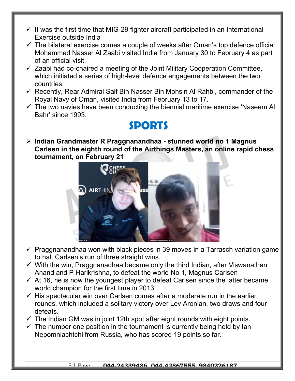- $\checkmark$  It was the first time that MIG-29 fighter aircraft participated in an International Exercise outside India
- $\checkmark$  The bilateral exercise comes a couple of weeks after Oman's top defence official Mohammed Nasser Al Zaabi visited India from January 30 to February 4 as part of an official visit.
- $\checkmark$  Zaabi had co-chaired a meeting of the Joint Military Cooperation Committee, which initiated a series of high-level defence engagements between the two countries.
- $\checkmark$  Recently, Rear Admiral Saif Bin Nasser Bin Mohsin Al Rahbi, commander of the Royal Navy of Oman, visited India from February 13 to 17.
- $\checkmark$  The two navies have been conducting the biennial maritime exercise 'Naseem Al Bahr' since 1993.

#### SPORTS

 $\triangleright$  Indian Grandmaster R Praggnanandhaa - stunned world no 1 Magnus Carlsen in the eighth round of the Airthings Masters, an online rapid chess tournament, on February 21



- $\checkmark$  Praggnanandhaa won with black pieces in 39 moves in a Tarrasch variation game to halt Carlsen's run of three straight wins.
- $\checkmark$  With the win, Praggnanadhaa became only the third Indian, after Viswanathan Anand and P Harikrishna, to defeat the world No 1, Magnus Carlsen
- $\checkmark$  At 16, he is now the youngest player to defeat Carlsen since the latter became world champion for the first time in 2013
- $\checkmark$  His spectacular win over Carlsen comes after a moderate run in the earlier rounds, which included a solitary victory over Lev Aronian, two draws and four defeats.
- $\checkmark$  The Indian GM was in joint 12th spot after eight rounds with eight points.
- $\checkmark$  The number one position in the tournament is currently being held by lan Nepomniachtchi from Russia, who has scored 19 points so far.